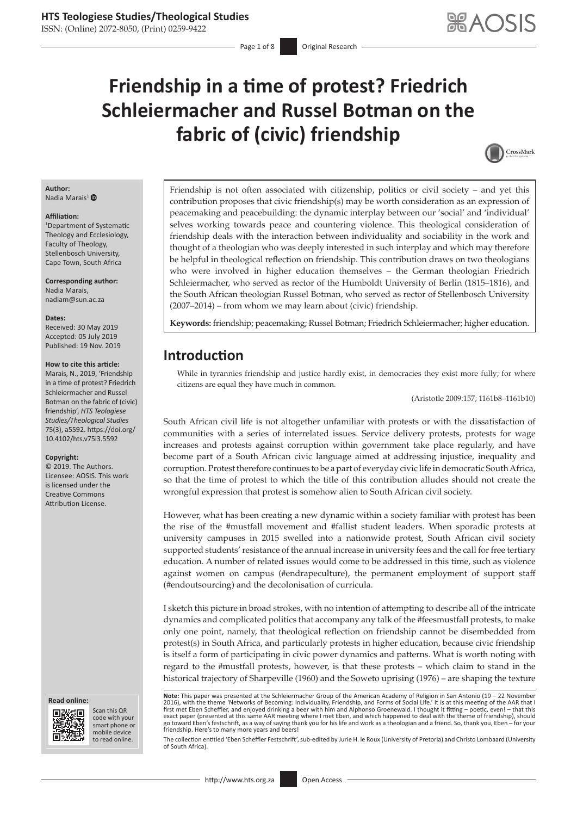# **Friendship in a time of protest? Friedrich Schleiermacher and Russel Botman on the fabric of (civic) friendship**



#### **Author:** Nadia Marais<sup>1</sup> $\bullet$

#### **Affiliation:**

1 Department of Systematic Theology and Ecclesiology, Faculty of Theology, Stellenbosch University, Cape Town, South Africa

**Corresponding author:** Nadia Marais, [nadiam@sun.ac.za](mailto:nadiam@sun.ac.za)

#### **Dates:**

Received: 30 May 2019 Accepted: 05 July 2019 Published: 19 Nov. 2019

#### **How to cite this article:**

Marais, N., 2019, 'Friendship in a time of protest? Friedrich Schleiermacher and Russel Botman on the fabric of (civic) friendship', *HTS Teologiese Studies/Theological Studies* 75(3), a5592. [https://doi.org/](https://doi.org/10.4102/hts.v75i3.5592) [10.4102/hts.v75i3.5592](https://doi.org/10.4102/hts.v75i3.5592)

#### **Copyright:**

© 2019. The Authors. Licensee: AOSIS. This work is licensed under the Creative Commons Attribution License.





Scan this QR code with your Scan this QR<br>code with your<br>smart phone or<br>mobile device mobile device to read online. to read online.

Friendship is not often associated with citizenship, politics or civil society – and yet this contribution proposes that civic friendship(s) may be worth consideration as an expression of peacemaking and peacebuilding: the dynamic interplay between our 'social' and 'individual' selves working towards peace and countering violence. This theological consideration of friendship deals with the interaction between individuality and sociability in the work and thought of a theologian who was deeply interested in such interplay and which may therefore be helpful in theological reflection on friendship. This contribution draws on two theologians who were involved in higher education themselves – the German theologian Friedrich Schleiermacher, who served as rector of the Humboldt University of Berlin (1815–1816), and the South African theologian Russel Botman, who served as rector of Stellenbosch University (2007–2014) – from whom we may learn about (civic) friendship.

**Keywords:** friendship; peacemaking; Russel Botman; Friedrich Schleiermacher; higher education.

# **Introduction**

While in tyrannies friendship and justice hardly exist, in democracies they exist more fully; for where citizens are equal they have much in common.

(Aristotle 2009:157; 1161b8–1161b10)

South African civil life is not altogether unfamiliar with protests or with the dissatisfaction of communities with a series of interrelated issues. Service delivery protests, protests for wage increases and protests against corruption within government take place regularly, and have become part of a South African civic language aimed at addressing injustice, inequality and corruption. Protest therefore continues to be a part of everyday civic life in democratic SouthAfrica, so that the time of protest to which the title of this contribution alludes should not create the wrongful expression that protest is somehow alien to South African civil society.

However, what has been creating a new dynamic within a society familiar with protest has been the rise of the #mustfall movement and #fallist student leaders. When sporadic protests at university campuses in 2015 swelled into a nationwide protest, South African civil society supported students' resistance of the annual increase in university fees and the call for free tertiary education. A number of related issues would come to be addressed in this time, such as violence against women on campus (#endrapeculture), the permanent employment of support staff (#endoutsourcing) and the decolonisation of curricula.

I sketch this picture in broad strokes, with no intention of attempting to describe all of the intricate dynamics and complicated politics that accompany any talk of the #feesmustfall protests, to make only one point, namely, that theological reflection on friendship cannot be disembedded from protest(s) in South Africa, and particularly protests in higher education, because civic friendship is itself a form of participating in civic power dynamics and patterns. What is worth noting with regard to the #mustfall protests, however, is that these protests – which claim to stand in the historical trajectory of Sharpeville (1960) and the Soweto uprising (1976) – are shaping the texture

**Note:** This paper was presented at the Schleiermacher Group of the American Academy of Religion in San Antonio (19 – 22 November 2016), with the theme 'Networks of Becoming: Individuality, Friendship, and Forms of Social Life.' It is at this meeting of the AAR that I first met Eben Scheffler, and enjoyed drinking a beer with him and Alphonso Groenewald. I thought it fitting – poetic, even! – that this exact paper (presented at this same AAR meeting where I met Eben, and which happened to deal with the theme of friendship), should go toward Eben's festschrift, as a way of saying thank you for his life and work as a theologian and a friend. So, thank you, Eben – for your friendship. Here's to many more years and beers!

The collection entitled 'Eben Scheffler Festschrift', sub-edited by Jurie H. le Roux (University of Pretoria) and Christo Lombaard (University of South Africa).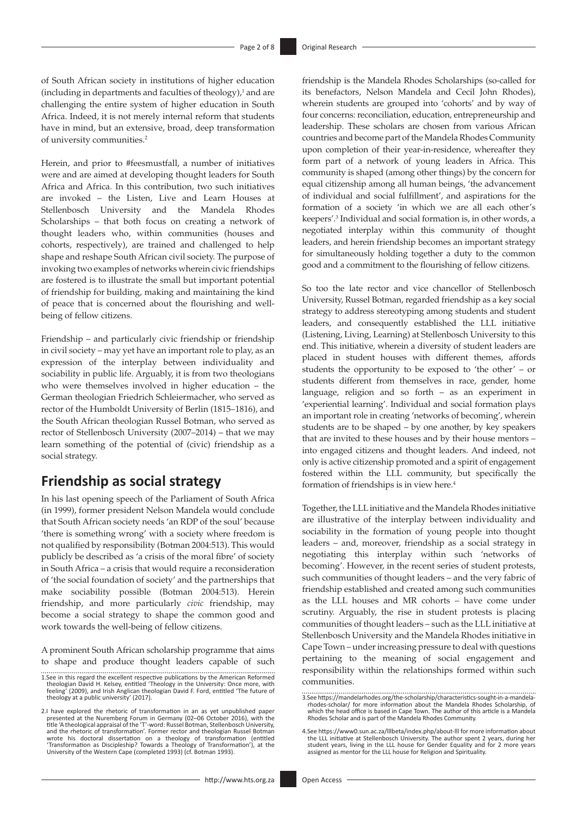of South African society in institutions of higher education  $(including in departments and facilities of theology)<sup>1</sup> and are$ challenging the entire system of higher education in South Africa. Indeed, it is not merely internal reform that students have in mind, but an extensive, broad, deep transformation of university communities.2

Herein, and prior to #feesmustfall, a number of initiatives were and are aimed at developing thought leaders for South Africa and Africa. In this contribution, two such initiatives are invoked – the Listen, Live and Learn Houses at Stellenbosch University and the Mandela Rhodes Scholarships – that both focus on creating a network of thought leaders who, within communities (houses and cohorts, respectively), are trained and challenged to help shape and reshape South African civil society. The purpose of invoking two examples of networks wherein civic friendships are fostered is to illustrate the small but important potential of friendship for building, making and maintaining the kind of peace that is concerned about the flourishing and wellbeing of fellow citizens.

Friendship – and particularly civic friendship or friendship in civil society – may yet have an important role to play, as an expression of the interplay between individuality and sociability in public life. Arguably, it is from two theologians who were themselves involved in higher education – the German theologian Friedrich Schleiermacher, who served as rector of the Humboldt University of Berlin (1815–1816), and the South African theologian Russel Botman, who served as rector of Stellenbosch University (2007–2014) – that we may learn something of the potential of (civic) friendship as a social strategy.

# **Friendship as social strategy**

In his last opening speech of the Parliament of South Africa (in 1999), former president Nelson Mandela would conclude that South African society needs 'an RDP of the soul' because 'there is something wrong' with a society where freedom is not qualified by responsibility (Botman 2004:513). This would publicly be described as 'a crisis of the moral fibre' of society in South Africa – a crisis that would require a reconsideration of 'the social foundation of society' and the partnerships that make sociability possible (Botman 2004:513). Herein friendship, and more particularly *civic* friendship, may become a social strategy to shape the common good and work towards the well-being of fellow citizens.

A prominent South African scholarship programme that aims to shape and produce thought leaders capable of such

- 1.See in this regard the excellent respective publications by the American Reformed theologian David H. Kelsey, entitled 'Theology in the University: Once more, with feeling' (2009), and Irish Anglican theologian David F. Ford, entitled 'The future of theology at a public university' (2017).
- 2.I have explored the rhetoric of transformation in an as yet unpublished paper presented at the Nuremberg Forum in Germany (02–06 October 2016), with the title 'A theological appraisal of the 'T'-word: Russel Botman, Stellenbosch University, and the rhetoric of transformation'. Former rector and theologian Russel Botman wrote his doctoral dissertation on a theology of transformation (entitled<br>'Transformation as Discipleship? Towards a Theology of Transformation'), at the<br>University of the Western Cape (completed 1993) (cf. Botman 1993).

friendship is the Mandela Rhodes Scholarships (so-called for its benefactors, Nelson Mandela and Cecil John Rhodes), wherein students are grouped into 'cohorts' and by way of four concerns: reconciliation, education, entrepreneurship and leadership. These scholars are chosen from various African countries and become part of the Mandela Rhodes Community upon completion of their year-in-residence, whereafter they form part of a network of young leaders in Africa. This community is shaped (among other things) by the concern for equal citizenship among all human beings, 'the advancement of individual and social fulfillment', and aspirations for the formation of a society 'in which we are all each other's keepers'.3 Individual and social formation is, in other words, a negotiated interplay within this community of thought leaders, and herein friendship becomes an important strategy for simultaneously holding together a duty to the common good and a commitment to the flourishing of fellow citizens.

So too the late rector and vice chancellor of Stellenbosch University, Russel Botman, regarded friendship as a key social strategy to address stereotyping among students and student leaders, and consequently established the LLL initiative (Listening, Living, Learning) at Stellenbosch University to this end. This initiative, wherein a diversity of student leaders are placed in student houses with different themes, affords students the opportunity to be exposed to 'the other' – or students different from themselves in race, gender, home language, religion and so forth – as an experiment in 'experiential learning'. Individual and social formation plays an important role in creating 'networks of becoming', wherein students are to be shaped – by one another, by key speakers that are invited to these houses and by their house mentors – into engaged citizens and thought leaders. And indeed, not only is active citizenship promoted and a spirit of engagement fostered within the LLL community, but specifically the formation of friendships is in view here.<sup>4</sup>

Together, the LLL initiative and the Mandela Rhodes initiative are illustrative of the interplay between individuality and sociability in the formation of young people into thought leaders – and, moreover, friendship as a social strategy in negotiating this interplay within such 'networks of becoming'. However, in the recent series of student protests, such communities of thought leaders – and the very fabric of friendship established and created among such communities as the LLL houses and MR cohorts – have come under scrutiny. Arguably, the rise in student protests is placing communities of thought leaders – such as the LLL initiative at Stellenbosch University and the Mandela Rhodes initiative in Cape Town – under increasing pressure to deal with questions pertaining to the meaning of social engagement and responsibility within the relationships formed within such communities.

<sup>3.</sup>See [https://mandelarhodes.org/the-scholarship/characteristics-sought-in-a-mandela](https://mandelarhodes.org/the-scholarship/characteristics-sought-in-a-mandela-rhodes-scholar/)[rhodes-scholar/](https://mandelarhodes.org/the-scholarship/characteristics-sought-in-a-mandela-rhodes-scholar/) for more information about the Mandela Rhodes Scholarship, of which the head office is based in Cape Town. The author of this article is a Mandela Rhodes Scholar and is part of the Mandela Rhodes Community.

<sup>4.</sup>See <https://www0.sun.ac.za/lllbeta/index.php/about-lll>for more information about<br>the LLL initiative at Stellenbosch University. The author spent 2 years, during her<br>student years, living in the LLL house for Gender Equa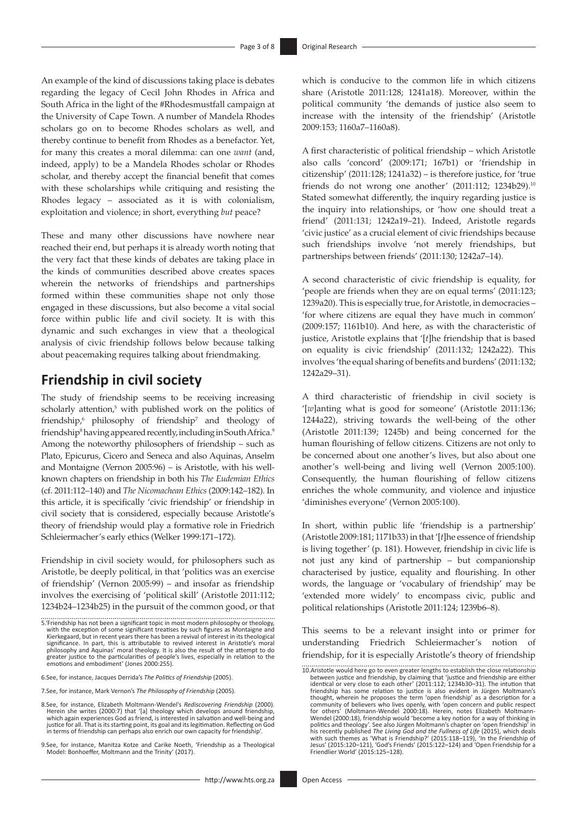An example of the kind of discussions taking place is debates regarding the legacy of Cecil John Rhodes in Africa and South Africa in the light of the #Rhodesmustfall campaign at the University of Cape Town. A number of Mandela Rhodes scholars go on to become Rhodes scholars as well, and thereby continue to benefit from Rhodes as a benefactor. Yet, for many this creates a moral dilemma: can one *want* (and, indeed, apply) to be a Mandela Rhodes scholar or Rhodes scholar, and thereby accept the financial benefit that comes with these scholarships while critiquing and resisting the Rhodes legacy – associated as it is with colonialism, exploitation and violence; in short, everything *but* peace?

These and many other discussions have nowhere near reached their end, but perhaps it is already worth noting that the very fact that these kinds of debates are taking place in the kinds of communities described above creates spaces wherein the networks of friendships and partnerships formed within these communities shape not only those engaged in these discussions, but also become a vital social force within public life and civil society. It is with this dynamic and such exchanges in view that a theological analysis of civic friendship follows below because talking about peacemaking requires talking about friendmaking.

### **Friendship in civil society**

The study of friendship seems to be receiving increasing scholarly attention,<sup>5</sup> with published work on the politics of friendship,<sup>6</sup> philosophy of friendship<sup>7</sup> and theology of friendship<sup>8</sup> having appeared recently, including in South Africa.<sup>9</sup> Among the noteworthy philosophers of friendship – such as Plato, Epicurus, Cicero and Seneca and also Aquinas, Anselm and Montaigne (Vernon 2005:96) – is Aristotle, with his wellknown chapters on friendship in both his *The Eudemian Ethics*  (cf. 2011:112–140) and *The Nicomachean Ethics* (2009:142–182). In this article, it is specifically 'civic friendship' or friendship in civil society that is considered, especially because Aristotle's theory of friendship would play a formative role in Friedrich Schleiermacher's early ethics (Welker 1999:171–172).

Friendship in civil society would, for philosophers such as Aristotle, be deeply political, in that 'politics was an exercise of friendship' (Vernon 2005:99) – and insofar as friendship involves the exercising of 'political skill' (Aristotle 2011:112; 1234b24–1234b25) in the pursuit of the common good, or that

9.See, for instance, Manitza Kotze and Carike Noeth, 'Friendship as a Theological Model: Bonhoeffer, Moltmann and the Trinity' (2017).

<http://www.hts.org.za> Open Access

which is conducive to the common life in which citizens share (Aristotle 2011:128; 1241a18). Moreover, within the political community 'the demands of justice also seem to increase with the intensity of the friendship' (Aristotle 2009:153; 1160a7–1160a8).

A first characteristic of political friendship – which Aristotle also calls 'concord' (2009:171; 167b1) or 'friendship in citizenship' (2011:128; 1241a32) – is therefore justice, for 'true friends do not wrong one another' (2011:112; 1234b29).10 Stated somewhat differently, the inquiry regarding justice is the inquiry into relationships, or 'how one should treat a friend' (2011:131; 1242a19–21). Indeed, Aristotle regards 'civic justice' as a crucial element of civic friendships because such friendships involve 'not merely friendships, but partnerships between friends' (2011:130; 1242a7–14).

A second characteristic of civic friendship is equality, for 'people are friends when they are on equal terms' (2011:123; 1239a20). This is especially true, for Aristotle, in democracies – 'for where citizens are equal they have much in common' (2009:157; 1161b10). And here, as with the characteristic of justice, Aristotle explains that '[*t*]he friendship that is based on equality is civic friendship' (2011:132; 1242a22). This involves 'the equal sharing of benefits and burdens' (2011:132; 1242a29–31).

A third characteristic of friendship in civil society is '[*w*]anting what is good for someone' (Aristotle 2011:136; 1244a22), striving towards the well-being of the other (Aristotle 2011:139; 1245b) and being concerned for the human flourishing of fellow citizens. Citizens are not only to be concerned about one another's lives, but also about one another's well-being and living well (Vernon 2005:100). Consequently, the human flourishing of fellow citizens enriches the whole community, and violence and injustice 'diminishes everyone' (Vernon 2005:100).

In short, within public life 'friendship is a partnership' (Aristotle 2009:181; 1171b33) in that '[*t*]he essence of friendship is living together' (p. 181). However, friendship in civic life is not just any kind of partnership – but companionship characterised by justice, equality and flourishing. In other words, the language or 'vocabulary of friendship' may be 'extended more widely' to encompass civic, public and political relationships (Aristotle 2011:124; 1239b6–8).

This seems to be a relevant insight into or primer for understanding Friedrich Schleiermacher's notion of friendship, for it is especially Aristotle's theory of friendship

<sup>5.&#</sup>x27;Friendship has not been a significant topic in most modern philosophy or theology, with the exception of some significant treatises by such figures as Montaigne and Kierkegaard, but in recent years there has been a revival of interest in its theological significance. In part, this is attributable to revived interest in Aristotle's moral philosophy and Aquinas' moral theology. It is also the result of the attempt to do greater justice to the particularities of people's liv

<sup>6.</sup>See, for instance, Jacques Derrida's *The Politics of Friendship* (2005).

<sup>7.</sup>See, for instance, Mark Vernon's *The Philosophy of Friendship* (2005).

<sup>8.</sup>See, for instance, Elizabeth Moltmann-Wendel's *Rediscovering Friendship* (2000). Herein she writes (2000:7) that '[a] theology which develops around friendship, which again experiences God as friend, is interested in salvation and well-being and justice for all. That is its starting point, its goal and its legitimation. Reflecting on God in terms of friendship can perhaps also enrich our own capacity for friendship'.

<sup>10.</sup>Aristotle would here go to even greater lengths to establish the close relationship between justice and friendship, by claiming that 'justice and friendship are either identical or very close to each other' (2011:112; 1234b30–31). The intution that<br>friendship has some relation to justice is also evident in Jürgen Moltmann's<br>thought, wherein he proposes the term 'open friendship' as a des community of believers who lives openly, with 'open concern and public respect<br>for others' (Moltmann-Wendel 2000:18). Herein, notes Elizabeth Moltmann-<br>Wendel (2000:18), friendship would 'become a key notion for a w politics and theology'. See also Jürgen Moltmann's chapter on 'open friendship' in<br>his recently published *The Living God and the Fullness of Life* (2015), which deals<br>with such themes as 'What is Friendship?' (2015:118–11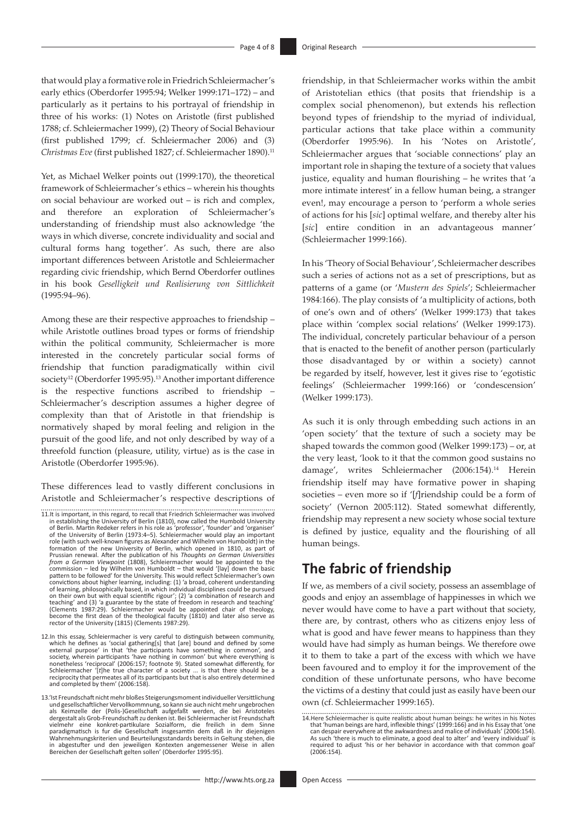that would play a formative role in Friedrich Schleiermacher's early ethics (Oberdorfer 1995:94; Welker 1999:171–172) – and particularly as it pertains to his portrayal of friendship in three of his works: (1) Notes on Aristotle (first published 1788; cf. Schleiermacher 1999), (2) Theory of Social Behaviour (first published 1799; cf. Schleiermacher 2006) and (3) *Christmas Eve* (first published 1827; cf. Schleiermacher 1890).<sup>11</sup>

Yet, as Michael Welker points out (1999:170), the theoretical framework of Schleiermacher's ethics – wherein his thoughts on social behaviour are worked out – is rich and complex, and therefore an exploration of Schleiermacher's understanding of friendship must also acknowledge 'the ways in which diverse, concrete individuality and social and cultural forms hang together'. As such, there are also important differences between Aristotle and Schleiermacher regarding civic friendship, which Bernd Oberdorfer outlines in his book *Geselligkeit und Realisierung von Sittlichkeit*  (1995:94–96).

Among these are their respective approaches to friendship – while Aristotle outlines broad types or forms of friendship within the political community, Schleiermacher is more interested in the concretely particular social forms of friendship that function paradigmatically within civil society<sup>12</sup> (Oberdorfer 1995:95).<sup>13</sup> Another important difference is the respective functions ascribed to friendship – Schleiermacher's description assumes a higher degree of complexity than that of Aristotle in that friendship is normatively shaped by moral feeling and religion in the pursuit of the good life, and not only described by way of a threefold function (pleasure, utility, virtue) as is the case in Aristotle (Oberdorfer 1995:96).

These differences lead to vastly different conclusions in Aristotle and Schleiermacher's respective descriptions of

- 11.It is important, in this regard, to recall that Friedrich Schleiermacher was involved in establishing the University of Berlin (1810), now called the Humbold University<br>of Berlin. Martin Redeker refers in his role as 'professor', 'founder' and 'organiser'<br>of the University of Berlin (1973:4–5). Schleiermach formation of the new University of Berlin, which opened in 1810, as part of Prussian renewal. After the publication of his *Thoughts on German Universities*<br>*from a German Viewpoint* (1808), Schleiermacher would be appoint pattern to be followed' for the University. This would reflect Schleiermacher's own convictions about higher learning, including: (1) 'a broad, coherent understanding of learning, philosophically based, in which individual disciplines could be pursued on their own but with equal scientific rigour'; (2) 'a combination of research and teaching' and (3) 'a guarantee by the state of freedom in research and teaching'<br>(Clements 1987:29). Schleiermacher would be appointed chair of theology,<br>become the first dean of the theological faculty (1810) and later al rector of the University (1815) (Clements 1987:29).
- 12.In this essay, Schleiermacher is very careful to distinguish between community, which he defines as 'social gathering[s] that [are] bound and defined by some external purpose' in that 'the participants have something in common', and society, wherein participants 'have nothing in common' but where everything is nonetheless 'reciprocal' (2006:157; footnote 9). Stated somewhat differently, for Schleiermacher '[*t*]he true character of a society ... is that there should be a reciprocity that permeates all of its participants but that is also entirely determined and completed by them' (2006:158).
- 13.'Ist Freundschaft nicht mehr bloßes Steigerungsmoment individueller Versittlichung und gesellschaftlicher Vervollkommnung, so kann sie auch nicht mehr ungebrochen<br>als Keimzelle der (Polis-)Gesellschaft aufgefaßt werden, die bei Aristoteles<br>dergestalt als Grob-Freundschaft zu denken ist. B vielmehr eine konkret-partikulare Sozialform, die freilich in dem Sinne<br>paradigmatisch is fur die Gesellschaft insgesamtin dem daß in ihr diejenigen<br>Wahrnehmungskriterien<code>und</code> Beurteilungsstandards·bereits in<code>Geltung</code> steh in abgestufter und den jeweiligen Kontexten angemessener Weise in allen Bereichen der Gesellschaft gelten sollen' (Oberdorfer 1995:95).

friendship, in that Schleiermacher works within the ambit of Aristotelian ethics (that posits that friendship is a complex social phenomenon), but extends his reflection beyond types of friendship to the myriad of individual, particular actions that take place within a community (Oberdorfer 1995:96). In his 'Notes on Aristotle', Schleiermacher argues that 'sociable connections' play an important role in shaping the texture of a society that values justice, equality and human flourishing – he writes that 'a more intimate interest' in a fellow human being, a stranger even!, may encourage a person to 'perform a whole series of actions for his [*sic*] optimal welfare, and thereby alter his [*sic*] entire condition in an advantageous manner' (Schleiermacher 1999:166).

In his 'Theory of Social Behaviour', Schleiermacher describes such a series of actions not as a set of prescriptions, but as patterns of a game (or '*Mustern des Spiels*'; Schleiermacher 1984:166). The play consists of 'a multiplicity of actions, both of one's own and of others' (Welker 1999:173) that takes place within 'complex social relations' (Welker 1999:173). The individual, concretely particular behaviour of a person that is enacted to the benefit of another person (particularly those disadvantaged by or within a society) cannot be regarded by itself, however, lest it gives rise to 'egotistic feelings' (Schleiermacher 1999:166) or 'condescension' (Welker 1999:173).

As such it is only through embedding such actions in an 'open society' that the texture of such a society may be shaped towards the common good (Welker 1999:173) – or, at the very least, 'look to it that the common good sustains no damage', writes Schleiermacher (2006:154).14 Herein friendship itself may have formative power in shaping societies – even more so if '[*f*]riendship could be a form of society' (Vernon 2005:112). Stated somewhat differently, friendship may represent a new society whose social texture is defined by justice, equality and the flourishing of all human beings.

# **The fabric of friendship**

If we, as members of a civil society, possess an assemblage of goods and enjoy an assemblage of happinesses in which we never would have come to have a part without that society, there are, by contrast, others who as citizens enjoy less of what is good and have fewer means to happiness than they would have had simply as human beings. We therefore owe it to them to take a part of the excess with which we have been favoured and to employ it for the improvement of the condition of these unfortunate persons, who have become the victims of a destiny that could just as easily have been our own (cf. Schleiermacher 1999:165).

<sup>14.</sup>Here Schleiermacher is quite realistic about human beings: he writes in his Notes that 'human beings are hard, inflexible things' (1999:166) and in his Essay that 'one can despair everywhere at the awkwardness and malice of individuals' (2006:154). As such 'there is much to eliminate, a good deal to alter' and 'every individual' is required to adjust 'his or her behavior in accordance with that common goal'  $(2006 \cdot 154)$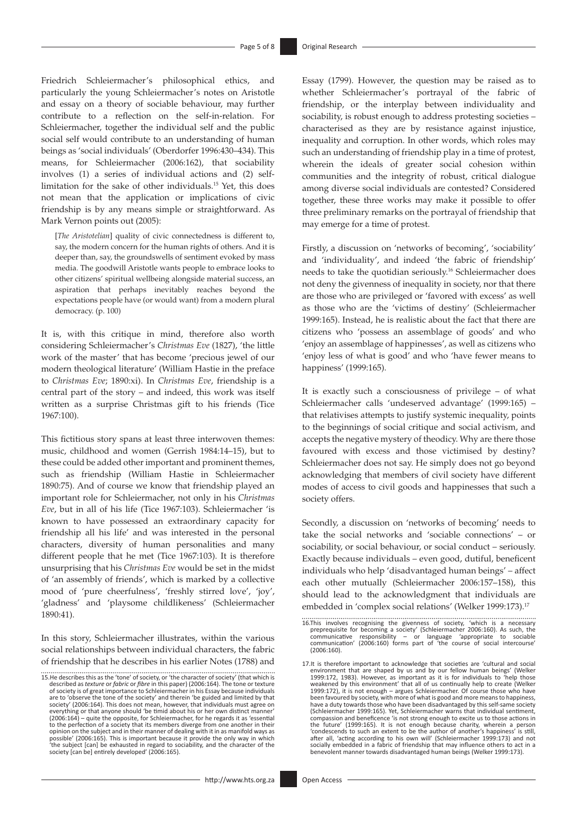Friedrich Schleiermacher's philosophical ethics, and particularly the young Schleiermacher's notes on Aristotle and essay on a theory of sociable behaviour, may further contribute to a reflection on the self-in-relation. For Schleiermacher, together the individual self and the public social self would contribute to an understanding of human beings as 'social individuals' (Oberdorfer 1996:430–434). This means, for Schleiermacher (2006:162), that sociability involves (1) a series of individual actions and (2) selflimitation for the sake of other individuals.15 Yet, this does not mean that the application or implications of civic friendship is by any means simple or straightforward. As Mark Vernon points out (2005):

[*The Aristotelian*] quality of civic connectedness is different to, say, the modern concern for the human rights of others. And it is deeper than, say, the groundswells of sentiment evoked by mass media. The goodwill Aristotle wants people to embrace looks to other citizens' spiritual wellbeing alongside material success, an aspiration that perhaps inevitably reaches beyond the expectations people have (or would want) from a modern plural democracy. (p. 100)

It is, with this critique in mind, therefore also worth considering Schleiermacher's *Christmas Eve* (1827), 'the little work of the master' that has become 'precious jewel of our modern theological literature' (William Hastie in the preface to *Christmas Eve*; 1890:xi). In *Christmas Eve*, friendship is a central part of the story – and indeed, this work was itself written as a surprise Christmas gift to his friends (Tice 1967:100).

This fictitious story spans at least three interwoven themes: music, childhood and women (Gerrish 1984:14–15), but to these could be added other important and prominent themes, such as friendship (William Hastie in Schleiermacher 1890:75). And of course we know that friendship played an important role for Schleiermacher, not only in his *Christmas Eve*, but in all of his life (Tice 1967:103). Schleiermacher 'is known to have possessed an extraordinary capacity for friendship all his life' and was interested in the personal characters, diversity of human personalities and many different people that he met (Tice 1967:103). It is therefore unsurprising that his *Christmas Eve* would be set in the midst of 'an assembly of friends', which is marked by a collective mood of 'pure cheerfulness', 'freshly stirred love', 'joy', 'gladness' and 'playsome childlikeness' (Schleiermacher 1890:41).

In this story, Schleiermacher illustrates, within the various social relationships between individual characters, the fabric of friendship that he describes in his earlier Notes (1788) and Essay (1799). However, the question may be raised as to whether Schleiermacher's portrayal of the fabric of friendship, or the interplay between individuality and sociability, is robust enough to address protesting societies – characterised as they are by resistance against injustice, inequality and corruption. In other words, which roles may such an understanding of friendship play in a time of protest, wherein the ideals of greater social cohesion within communities and the integrity of robust, critical dialogue among diverse social individuals are contested? Considered together, these three works may make it possible to offer three preliminary remarks on the portrayal of friendship that may emerge for a time of protest.

Firstly, a discussion on 'networks of becoming', 'sociability' and 'individuality', and indeed 'the fabric of friendship' needs to take the quotidian seriously.16 Schleiermacher does not deny the givenness of inequality in society, nor that there are those who are privileged or 'favored with excess' as well as those who are the 'victims of destiny' (Schleiermacher 1999:165). Instead, he is realistic about the fact that there are citizens who 'possess an assemblage of goods' and who 'enjoy an assemblage of happinesses', as well as citizens who 'enjoy less of what is good' and who 'have fewer means to happiness' (1999:165).

It is exactly such a consciousness of privilege – of what Schleiermacher calls 'undeserved advantage' (1999:165) – that relativises attempts to justify systemic inequality, points to the beginnings of social critique and social activism, and accepts the negative mystery of theodicy. Why are there those favoured with excess and those victimised by destiny? Schleiermacher does not say. He simply does not go beyond acknowledging that members of civil society have different modes of access to civil goods and happinesses that such a society offers.

Secondly, a discussion on 'networks of becoming' needs to take the social networks and 'sociable connections' – or sociability, or social behaviour, or social conduct – seriously. Exactly because individuals – even good, dutiful, beneficent individuals who help 'disadvantaged human beings' – affect each other mutually (Schleiermacher 2006:157–158), this should lead to the acknowledgment that individuals are embedded in 'complex social relations' (Welker 1999:173).<sup>17</sup>

<sup>15.</sup>He describes this as the 'tone' of society, or 'the character of society' (that which is described as *texture* or *fabric* or *fibre* in this paper) (2006:164). The tone or texture of society is of great importance to Schleiermacher in his Essay because individuals are to 'observe the tone of the society' and therein 'be guided and limited by that society' (2006:164). This does not mean, however, that individuals must agree on everything or that anyone should 'be timid about his or her own distinct manner' (2006:164) – quite the opposite, for Schleiermacher, for he regards it as 'essential to the perfection of a society that its members diverge from one another in their<br>opinion on the subject and in their manner of dealing with it in as manifold ways as<br>possible' (2006:165). This is important because it prov

<sup>16.</sup>This involves recognising the givenness of society, 'which is a necessary preprequisite for becoming a society' (Schleiermacher 2006:160). As such, the communicative responsibility  $-$  or language 'appropriate to socia

<sup>17.</sup>It is therefore important to acknowledge that societies are 'cultural and social environment that are shaped by us and by our fellow human beings' (Welker 1999:172, 1983). However, as important as it is for individuals to 'help those weakened by this environment' that all of us continually help to create (Welker<br>1999:172), it is not enough – argues Schleiermacher. Of course those who have<br>been favoured by society, with more of what is good and more mea (Schleiermacher 1999:165). Yet, Schleiermacher warns that individual sentiment, compassion and beneficence 'is not strong enough to excite us to those actions in the future' (1999:165). It is not enough because charity, wherein a person<br>'condescends to such an extent to be the author of another's happiness' is still,<br>after all, 'acting according to his own will' (Schleiermacher 199 socially embedded in a fabric of friendship that may influence others to act in a benevolent manner towards disadvantaged human beings (Welker 1999:173).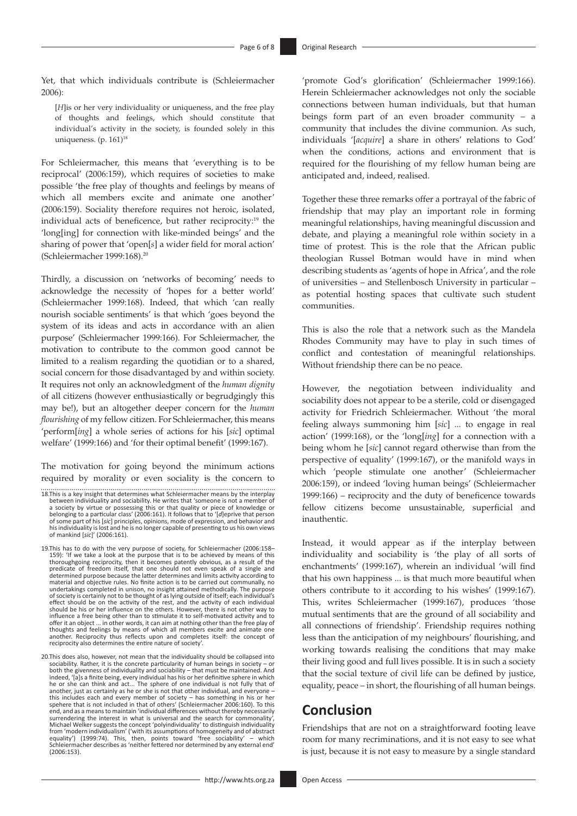Yet, that which individuals contribute is (Schleiermacher 2006):

[*H*]is or her very individuality or uniqueness, and the free play of thoughts and feelings, which should constitute that individual's activity in the society, is founded solely in this uniqueness. (p. 161)<sup>18</sup>

For Schleiermacher, this means that 'everything is to be reciprocal' (2006:159), which requires of societies to make possible 'the free play of thoughts and feelings by means of which all members excite and animate one another' (2006:159). Sociality therefore requires not heroic, isolated, individual acts of beneficence, but rather reciprocity:19 the 'long[ing] for connection with like-minded beings' and the sharing of power that 'open[*s*] a wider field for moral action' (Schleiermacher 1999:168).20

Thirdly, a discussion on 'networks of becoming' needs to acknowledge the necessity of 'hopes for a better world' (Schleiermacher 1999:168). Indeed, that which 'can really nourish sociable sentiments' is that which 'goes beyond the system of its ideas and acts in accordance with an alien purpose' (Schleiermacher 1999:166). For Schleiermacher, the motivation to contribute to the common good cannot be limited to a realism regarding the quotidian or to a shared, social concern for those disadvantaged by and within society. It requires not only an acknowledgment of the *human dignity* of all citizens (however enthusiastically or begrudgingly this may be!), but an altogether deeper concern for the *human flourishing* of my fellow citizen. For Schleiermacher, this means 'perform[*ing*] a whole series of actions for his [*sic*] optimal welfare' (1999:166) and 'for their optimal benefit' (1999:167).

The motivation for going beyond the minimum actions required by morality or even sociality is the concern to

18.This is a key insight that determines what Schleiermacher means by the interplay between individuality and sociability. He writes that 'someone is not a member of a society by virtue or possessing this or that quality or piece of knowledge or<br>belonging to a particular class' (2006:161). It follows that to '[d]eprive that person<br>of some part of his [sic] principles, opinions, mode of of mankind [*sic*]' (2006:161).

19.This has to do with the very purpose of society, for Schleiermacher (2006:158– 159): 'If we take a look at the purpose that is to be achieved by means of this thoroughgoing reciprocity, then it becomes patently obvious, as a result of the predicate of freedom itself, that one should not even speak of a single and perdermined prepose because the latter determines and limits activ undertakings completed in unison, no insight attained methodically. The purpose of society is certainly not to be thought of as lying outside of itself; each individual's effect should be on the activity of the rest, and the activity of each individual<br>should be his or her influence on the others. However, there is not other way to<br>influence a free being other than to stimulate it to self-m thoughts and feelings by means of which all members excite and animate one another. Reciprocity thus reflects upon and completes itself: the concept of reciprocity also determines the entire nature of society'.

20.This does also, however, not mean that the individuality should be collapsed into sociability. Rather, it is the concrete particularity of human beings in society – or both the givenness of individuality and sociability – that must be maintained. And indeed, '[a]s a finite being, every individual has his or her definitive sphere in which he or she can think and act... The sphere of one individual is not fully that of another, just as certainly as he or she is not that other individual, and everyone – this includes each and every member of society – has something in his or her spehere that is not included in that of others' (Schleiermacher 2006:160). To this end, and as a means to maintain 'individual differences without thereby necessarily surrendering the interest in what is universal and the search for commonality', Michael Welker suggests the concept 'polyindividuality' to distinguish individuality<br>from 'modern individualism' ('with its assumptions of homogeneity and of abstract<br>equality') (1999:74). This, 'then, points' toward 'free (2006:153).

'promote God's glorification' (Schleiermacher 1999:166). Herein Schleiermacher acknowledges not only the sociable connections between human individuals, but that human beings form part of an even broader community – a community that includes the divine communion. As such, individuals '[*acquire*] a share in others' relations to God' when the conditions, actions and environment that is required for the flourishing of my fellow human being are anticipated and, indeed, realised.

Together these three remarks offer a portrayal of the fabric of friendship that may play an important role in forming meaningful relationships, having meaningful discussion and debate, and playing a meaningful role within society in a time of protest. This is the role that the African public theologian Russel Botman would have in mind when describing students as 'agents of hope in Africa', and the role of universities – and Stellenbosch University in particular – as potential hosting spaces that cultivate such student communities.

This is also the role that a network such as the Mandela Rhodes Community may have to play in such times of conflict and contestation of meaningful relationships. Without friendship there can be no peace.

However, the negotiation between individuality and sociability does not appear to be a sterile, cold or disengaged activity for Friedrich Schleiermacher. Without 'the moral feeling always summoning him [*sic*] ... to engage in real action' (1999:168), or the 'long[*ing*] for a connection with a being whom he [*sic*] cannot regard otherwise than from the perspective of equality' (1999:167), or the manifold ways in which 'people stimulate one another' (Schleiermacher 2006:159), or indeed 'loving human beings' (Schleiermacher 1999:166) – reciprocity and the duty of beneficence towards fellow citizens become unsustainable, superficial and inauthentic.

Instead, it would appear as if the interplay between individuality and sociability is 'the play of all sorts of enchantments' (1999:167), wherein an individual 'will find that his own happiness ... is that much more beautiful when others contribute to it according to his wishes' (1999:167). This, writes Schleiermacher (1999:167), produces 'those mutual sentiments that are the ground of all sociability and all connections of friendship'. Friendship requires nothing less than the anticipation of my neighbours' flourishing, and working towards realising the conditions that may make their living good and full lives possible. It is in such a society that the social texture of civil life can be defined by justice, equality, peace – in short, the flourishing of all human beings.

# **Conclusion**

Friendships that are not on a straightforward footing leave room for many recriminations, and it is not easy to see what is just, because it is not easy to measure by a single standard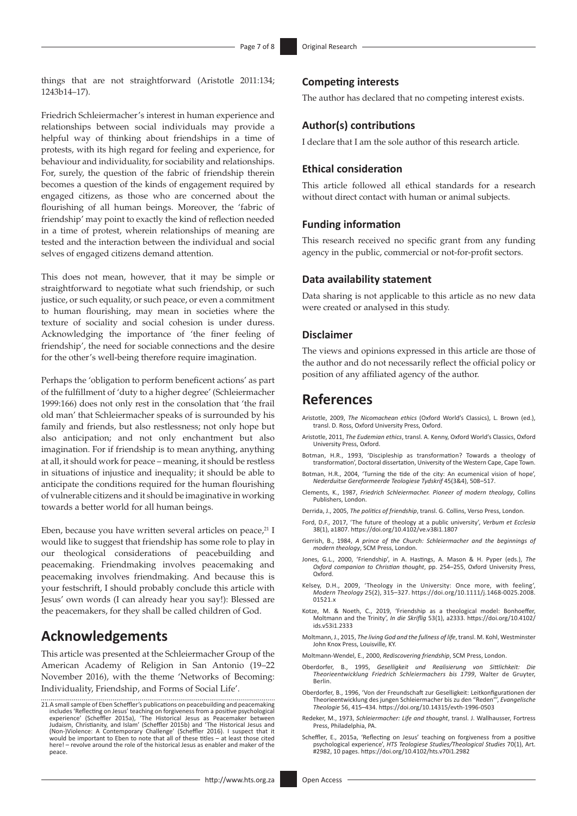things that are not straightforward (Aristotle 2011:134; 1243b14–17).

Friedrich Schleiermacher's interest in human experience and relationships between social individuals may provide a helpful way of thinking about friendships in a time of protests, with its high regard for feeling and experience, for behaviour and individuality, for sociability and relationships. For, surely, the question of the fabric of friendship therein becomes a question of the kinds of engagement required by engaged citizens, as those who are concerned about the flourishing of all human beings. Moreover, the 'fabric of friendship' may point to exactly the kind of reflection needed in a time of protest, wherein relationships of meaning are tested and the interaction between the individual and social selves of engaged citizens demand attention.

This does not mean, however, that it may be simple or straightforward to negotiate what such friendship, or such justice, or such equality, or such peace, or even a commitment to human flourishing, may mean in societies where the texture of sociality and social cohesion is under duress. Acknowledging the importance of 'the finer feeling of friendship', the need for sociable connections and the desire for the other's well-being therefore require imagination.

Perhaps the 'obligation to perform beneficent actions' as part of the fulfillment of 'duty to a higher degree' (Schleiermacher 1999:166) does not only rest in the consolation that 'the frail old man' that Schleiermacher speaks of is surrounded by his family and friends, but also restlessness; not only hope but also anticipation; and not only enchantment but also imagination. For if friendship is to mean anything, anything at all, it should work for peace – meaning, it should be restless in situations of injustice and inequality; it should be able to anticipate the conditions required for the human flourishing of vulnerable citizens and it should be imaginative in working towards a better world for all human beings.

Eben, because you have written several articles on peace, $21$  I would like to suggest that friendship has some role to play in our theological considerations of peacebuilding and peacemaking. Friendmaking involves peacemaking and peacemaking involves friendmaking. And because this is your festschrift, I should probably conclude this article with Jesus' own words (I can already hear you say!): Blessed are the peacemakers, for they shall be called children of God.

# **Acknowledgements**

This article was presented at the Schleiermacher Group of the American Academy of Religion in San Antonio (19–22 November 2016), with the theme 'Networks of Becoming: Individuality, Friendship, and Forms of Social Life'.

#### <http://www.hts.org.za> Open Access

### **Competing interests**

The author has declared that no competing interest exists.

### **Author(s) contributions**

I declare that I am the sole author of this research article.

### **Ethical consideration**

This article followed all ethical standards for a research without direct contact with human or animal subjects.

#### **Funding information**

This research received no specific grant from any funding agency in the public, commercial or not-for-profit sectors.

### **Data availability statement**

Data sharing is not applicable to this article as no new data were created or analysed in this study.

### **Disclaimer**

The views and opinions expressed in this article are those of the author and do not necessarily reflect the official policy or position of any affiliated agency of the author.

### **References**

- Aristotle, 2009, *The Nicomachean ethics* (Oxford World's Classics), L. Brown (ed.), transl. D. Ross, Oxford University Press, Oxford.
- Aristotle, 2011, *The Eudemian ethics*, transl. A. Kenny, Oxford World's Classics, Oxford University Press, Oxford.
- Botman, H.R., 1993, 'Discipleship as transformation? Towards a theology of transformation', Doctoral dissertation, University of the Western Cape, Cape Town.
- Botman, H.R., 2004, 'Turning the tide of the city: An ecumenical vision of hope', *Nederduitse Gereformeerde Teologiese Tydskrif* 45(3&4), 508–517.
- Clements, K., 1987, *Friedrich Schleiermacher. Pioneer of modern theology*, Collins Publishers, London.
- Derrida, J., 2005, *The politics of friendship*, transl. G. Collins, Verso Press, London.
- Ford, D.F., 2017, 'The future of theology at a public university', *Verbum et Ecclesia* 38(1), a1807.<https://doi.org/10.4102/ve.v38i1.1807>
- Gerrish, B., 1984, *A prince of the Church: Schleiermacher and the beginnings of modern theology*, SCM Press, London.
- Jones, G.L., 2000, 'Friendship', in A. Hastings, A. Mason & H. Pyper (eds.), *The Oxford companion to Christian thought*, pp. 254–255, Oxford University Press, Oxford.
- Kelsey, D.H., 2009, 'Theology in the University: Once more, with feeling', *Modern Theology* 25(2), 315–327. [https://doi.org/10.1111/j.1468-0025.2008.](https://doi.org/10.1111/j.1468-0025.2008.01521.x) [01521.x](https://doi.org/10.1111/j.1468-0025.2008.01521.x)
- Kotze, M. & Noeth, C., 2019, 'Friendship as a theological model: Bonhoeffer, Moltmann and the Trinity', *In die Skriflig* 53(1), a2333. [https://doi.org/10.4102/](https://doi.org/10.4102/ids.v53i1.2333) [ids.v53i1.2333](https://doi.org/10.4102/ids.v53i1.2333)
- Moltmann, J., 2015, *The living God and the fullness of life*, transl. M. Kohl, Westminster John Knox Press, Louisville, KY.
- Moltmann-Wendel, E., 2000, *Rediscovering friendship*, SCM Press, London.
- Oberdorfer, B., 1995, *Geselligkeit und Realisierung von Sittlichkeit: Die Theorieentwicklung Friedrich Schleiermachers bis 1799*, Walter de Gruyter, Berlin.
- Oberdorfer, B., 1996, 'Von der Freundschaft zur Geselligkeit: Leitkonfigurationen der Theorieentwicklung des jungen Schleiermacher bis zu den "Reden"', *Evangelische Theologie* 56, 415–434. <https://doi.org/10.14315/evth-1996-0503>
- Redeker, M., 1973, *Schleiermacher: Life and thought*, transl. J. Wallhausser, Fortress Press, Philadelphia, PA.
- Scheffler, E., 2015a, 'Reflecting on Jesus' teaching on forgiveness from a positive psychological experience', *HTS Teologiese Studies/Theological Studies* 70(1), Art. #2982, 10 pages. <https://doi.org/10.4102/hts.v70i1.2982>

<sup>21.</sup>A small sample of Eben Scheffler's publications on peacebuilding and peacemaking includes 'Reflecting on Jesus' teaching on forgiveness from a positive psychological<br>experience' (Scheffler 2015a), 'The Historical Jesus as Peacemaker between<br>Judaism, Christianity, and Islam' (Scheffler 2015b) and 'The H here! – revolve around the role of the historical Jesus as enabler and maker of the peace.